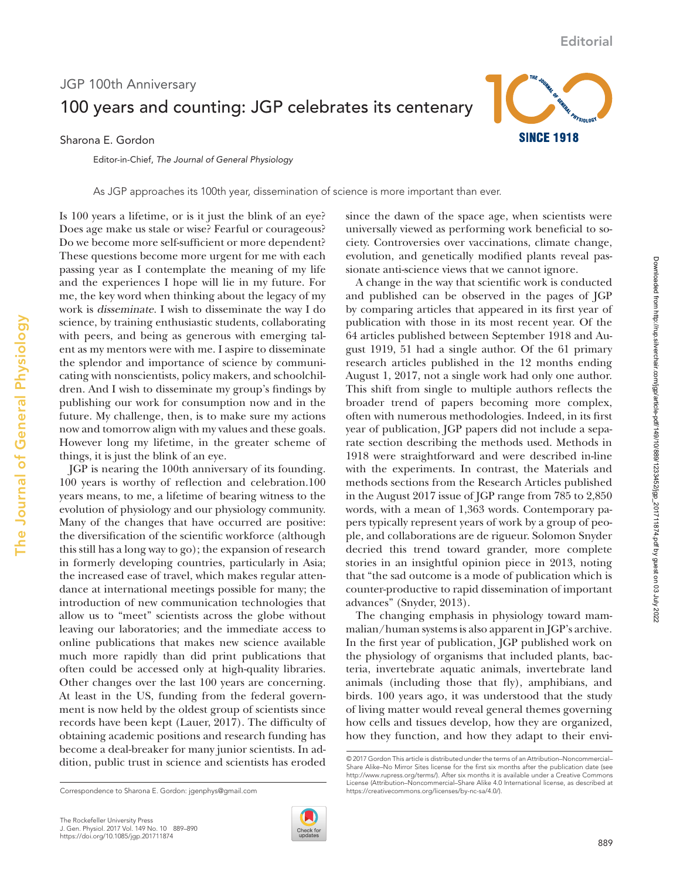**SINCE 1918** 

## JGP 100th Anniversary 100 years and counting: JGP celebrates its centenary

Sharona E. Gordon

The Journal of General Physiology

The Journal of General Physiology

Editor-in-Chief, *The Journal of General Physiology*

As JGP approaches its 100th year, dissemination of science is more important than ever.

Is 100 years a lifetime, or is it just the blink of an eye? Does age make us stale or wise? Fearful or courageous? Do we become more self-sufficient or more dependent? These questions become more urgent for me with each passing year as I contemplate the meaning of my life and the experiences I hope will lie in my future. For me, the key word when thinking about the legacy of my work is disseminate. I wish to disseminate the way I do science, by training enthusiastic students, collaborating with peers, and being as generous with emerging talent as my mentors were with me. I aspire to disseminate the splendor and importance of science by communicating with nonscientists, policy makers, and schoolchildren. And I wish to disseminate my group's findings by publishing our work for consumption now and in the future. My challenge, then, is to make sure my actions now and tomorrow align with my values and these goals. However long my lifetime, in the greater scheme of things, it is just the blink of an eye.

JGP is nearing the 100th anniversary of its founding. 100 years is worthy of reflection and celebration.100 years means, to me, a lifetime of bearing witness to the evolution of physiology and our physiology community. Many of the changes that have occurred are positive: the diversification of the scientific workforce (although this still has a long way to go); the expansion of research in formerly developing countries, particularly in Asia; the increased ease of travel, which makes regular attendance at international meetings possible for many; the introduction of new communication technologies that allow us to "meet" scientists across the globe without leaving our laboratories; and the immediate access to online publications that makes new science available much more rapidly than did print publications that often could be accessed only at high-quality libraries. Other changes over the last 100 years are concerning. At least in the US, funding from the federal government is now held by the oldest group of scientists since records have been kept [\(Lauer, 2017](#page-1-0)). The difficulty of obtaining academic positions and research funding has become a deal-breaker for many junior scientists. In addition, public trust in science and scientists has eroded



since the dawn of the space age, when scientists were universally viewed as performing work beneficial to society. Controversies over vaccinations, climate change, evolution, and genetically modified plants reveal passionate anti-science views that we cannot ignore.

A change in the way that scientific work is conducted and published can be observed in the pages of JGP by comparing articles that appeared in its first year of publication with those in its most recent year. Of the 64 articles published between September 1918 and August 1919, 51 had a single author. Of the 61 primary research articles published in the 12 months ending August 1, 2017, not a single work had only one author. This shift from single to multiple authors reflects the broader trend of papers becoming more complex, often with numerous methodologies. Indeed, in its first year of publication, JGP papers did not include a separate section describing the methods used. Methods in 1918 were straightforward and were described in-line with the experiments. In contrast, the Materials and methods sections from the Research Articles published in the August 2017 issue of JGP range from 785 to 2,850 words, with a mean of 1,363 words. Contemporary papers typically represent years of work by a group of people, and collaborations are de rigueur. Solomon Snyder decried this trend toward grander, more complete stories in an insightful opinion piece in 2013, noting that "the sad outcome is a mode of publication which is counter-productive to rapid dissemination of important advances" [\(Snyder, 2013\)](#page-1-1).

The changing emphasis in physiology toward mammalian/human systems is also apparent in JGP's archive. In the first year of publication, JGP published work on the physiology of organisms that included plants, bacteria, invertebrate aquatic animals, invertebrate land animals (including those that fly), amphibians, and birds. 100 years ago, it was understood that the study of living matter would reveal general themes governing how cells and tissues develop, how they are organized, how they function, and how they adapt to their envi-

Correspondence to Sharona E. Gordon: [jgenphys@gmail.com](mailto:)

<sup>© 2017</sup> Gordon This article is distributed under the terms of an Attribution–Noncommercial– Share Alike–No Mirror Sites license for the first six months after the publication date (see <http://www.rupress.org/terms/>). After six months it is available under a Creative Commons License (Attribution–Noncommercial–Share Alike 4.0 International license, as described at<br>https://creativecommons.org/licenses/by-nc-sa/4.0/).